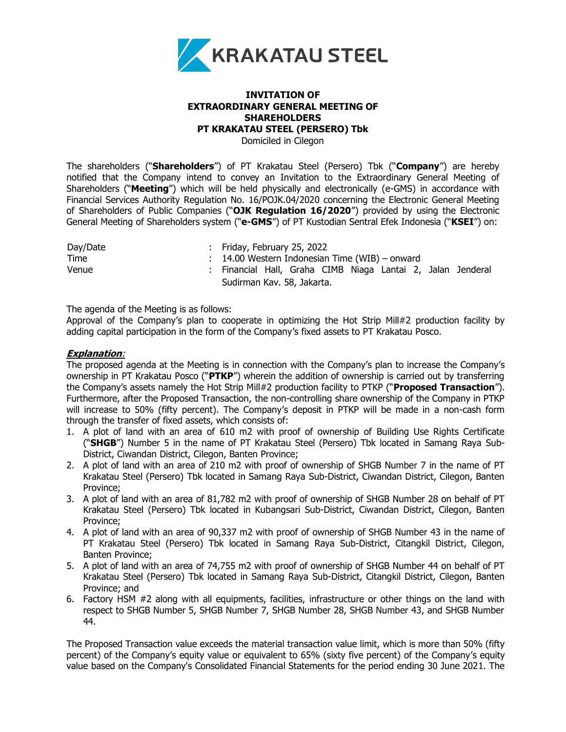

## **INVITATION OF EXTRAORDINARY GENERAL MEETING OF SHAREHOLDERS PT KRAKATAU STEEL (PERSERO) Tbk**

Domiciled in Cilegon

The shareholders ("**Shareholders**") of PT Krakatau Steel (Persero) Tbk ("**Company**") are hereby notified that the Company intend to convey an Invitation to the Extraordinary General Meeting of Shareholders ("**Meeting**") which will be held physically and electronically (e-GMS) in accordance with Financial Services Authority Regulation No. 16/POJK.04/2020 concerning the Electronic General Meeting of Shareholders of Public Companies ("**OJK Regulation 16/2020**") provided by using the Electronic General Meeting of Shareholders system ("**e-GMS**") of PT Kustodian Sentral Efek Indonesia ("**KSEI**") on:

| Day/Date | : Friday, February 25, 2022                                 |
|----------|-------------------------------------------------------------|
| Time     | $\therefore$ 14.00 Western Indonesian Time (WIB) – onward   |
| Venue    | : Financial Hall, Graha CIMB Niaga Lantai 2, Jalan Jenderal |
|          | Sudirman Kav. 58, Jakarta.                                  |

The agenda of the Meeting is as follows:

Approval of the Company's plan to cooperate in optimizing the Hot Strip Mill#2 production facility by adding capital participation in the form of the Company's fixed assets to PT Krakatau Posco.

## **Explanation**:

The proposed agenda at the Meeting is in connection with the Company's plan to increase the Company's ownership in PT Krakatau Posco ("**PTKP**") wherein the addition of ownership is carried out by transferring the Company's assets namely the Hot Strip Mill#2 production facility to PTKP ("**Proposed Transaction**"). Furthermore, after the Proposed Transaction, the non-controlling share ownership of the Company in PTKP will increase to 50% (fifty percent). The Company's deposit in PTKP will be made in a non-cash form through the transfer of fixed assets, which consists of:

- 1. A plot of land with an area of 610 m2 with proof of ownership of Building Use Rights Certificate ("**SHGB**") Number 5 in the name of PT Krakatau Steel (Persero) Tbk located in Samang Raya Sub-District, Ciwandan District, Cilegon, Banten Province;
- 2. A plot of land with an area of 210 m2 with proof of ownership of SHGB Number 7 in the name of PT Krakatau Steel (Persero) Tbk located in Samang Raya Sub-District, Ciwandan District, Cilegon, Banten Province;
- 3. A plot of land with an area of 81,782 m2 with proof of ownership of SHGB Number 28 on behalf of PT Krakatau Steel (Persero) Tbk located in Kubangsari Sub-District, Ciwandan District, Cilegon, Banten Province;
- 4. A plot of land with an area of 90,337 m2 with proof of ownership of SHGB Number 43 in the name of PT Krakatau Steel (Persero) Tbk located in Samang Raya Sub-District, Citangkil District, Cilegon, Banten Province;
- 5. A plot of land with an area of 74,755 m2 with proof of ownership of SHGB Number 44 on behalf of PT Krakatau Steel (Persero) Tbk located in Samang Raya Sub-District, Citangkil District, Cilegon, Banten Province; and
- 6. Factory HSM #2 along with all equipments, facilities, infrastructure or other things on the land with respect to SHGB Number 5, SHGB Number 7, SHGB Number 28, SHGB Number 43, and SHGB Number 44.

The Proposed Transaction value exceeds the material transaction value limit, which is more than 50% (fifty percent) of the Company's equity value or equivalent to 65% (sixty five percent) of the Company's equity value based on the Company's Consolidated Financial Statements for the period ending 30 June 2021. The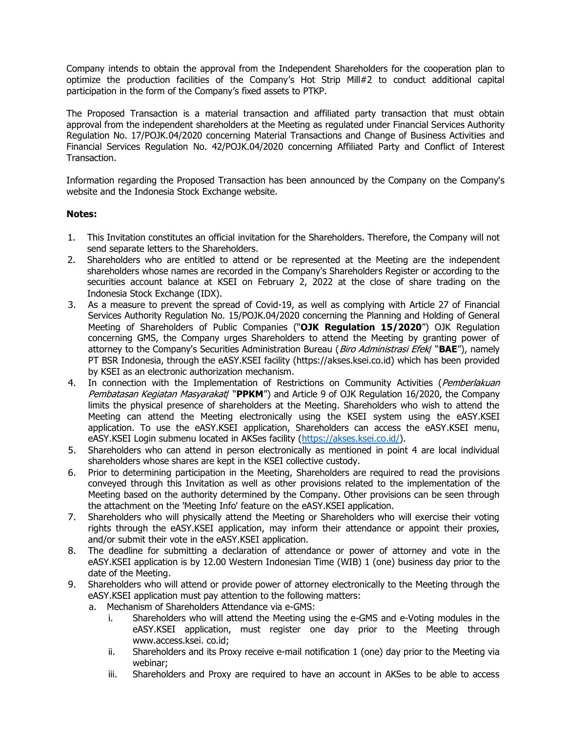Company intends to obtain the approval from the Independent Shareholders for the cooperation plan to optimize the production facilities of the Company's Hot Strip Mill#2 to conduct additional capital participation in the form of the Company's fixed assets to PTKP.

The Proposed Transaction is a material transaction and affiliated party transaction that must obtain approval from the independent shareholders at the Meeting as regulated under Financial Services Authority Regulation No. 17/POJK.04/2020 concerning Material Transactions and Change of Business Activities and Financial Services Regulation No. 42/POJK.04/2020 concerning Affiliated Party and Conflict of Interest Transaction.

Information regarding the Proposed Transaction has been announced by the Company on the Company's website and the Indonesia Stock Exchange website.

## **Notes:**

- 1. This Invitation constitutes an official invitation for the Shareholders. Therefore, the Company will not send separate letters to the Shareholders.
- 2. Shareholders who are entitled to attend or be represented at the Meeting are the independent shareholders whose names are recorded in the Company's Shareholders Register or according to the securities account balance at KSEI on February 2, 2022 at the close of share trading on the Indonesia Stock Exchange (IDX).
- 3. As a measure to prevent the spread of Covid-19, as well as complying with Article 27 of Financial Services Authority Regulation No. 15/POJK.04/2020 concerning the Planning and Holding of General Meeting of Shareholders of Public Companies ("**OJK Regulation 15/2020**") OJK Regulation concerning GMS, the Company urges Shareholders to attend the Meeting by granting power of attorney to the Company's Securities Administration Bureau (Biro Administrasi Efek/ "**BAE**"), namely PT BSR Indonesia, through the eASY.KSEI facility (https://akses.ksei.co.id) which has been provided by KSEI as an electronic authorization mechanism.
- 4. In connection with the Implementation of Restrictions on Community Activities (*Pemberlakuan*) Pembatasan Kegiatan Masyarakat/ "PPKM") and Article 9 of OJK Regulation 16/2020, the Company limits the physical presence of shareholders at the Meeting. Shareholders who wish to attend the Meeting can attend the Meeting electronically using the KSEI system using the eASY.KSEI application. To use the eASY.KSEI application, Shareholders can access the eASY.KSEI menu, eASY.KSEI Login submenu located in AKSes facility [\(https://akses.ksei.co.id/\)](https://akses.ksei.co.id/).
- 5. Shareholders who can attend in person electronically as mentioned in point 4 are local individual shareholders whose shares are kept in the KSEI collective custody.
- 6. Prior to determining participation in the Meeting, Shareholders are required to read the provisions conveyed through this Invitation as well as other provisions related to the implementation of the Meeting based on the authority determined by the Company. Other provisions can be seen through the attachment on the 'Meeting Info' feature on the eASY.KSEI application.
- 7. Shareholders who will physically attend the Meeting or Shareholders who will exercise their voting rights through the eASY.KSEI application, may inform their attendance or appoint their proxies, and/or submit their vote in the eASY.KSEI application.
- 8. The deadline for submitting a declaration of attendance or power of attorney and vote in the eASY.KSEI application is by 12.00 Western Indonesian Time (WIB) 1 (one) business day prior to the date of the Meeting.
- 9. Shareholders who will attend or provide power of attorney electronically to the Meeting through the eASY.KSEI application must pay attention to the following matters:
	- a. Mechanism of Shareholders Attendance via e-GMS:
		- i. Shareholders who will attend the Meeting using the e-GMS and e-Voting modules in the eASY.KSEI application, must register one day prior to the Meeting through www.access.ksei. co.id;
		- ii. Shareholders and its Proxy receive e-mail notification 1 (one) day prior to the Meeting via webinar;
		- iii. Shareholders and Proxy are required to have an account in AKSes to be able to access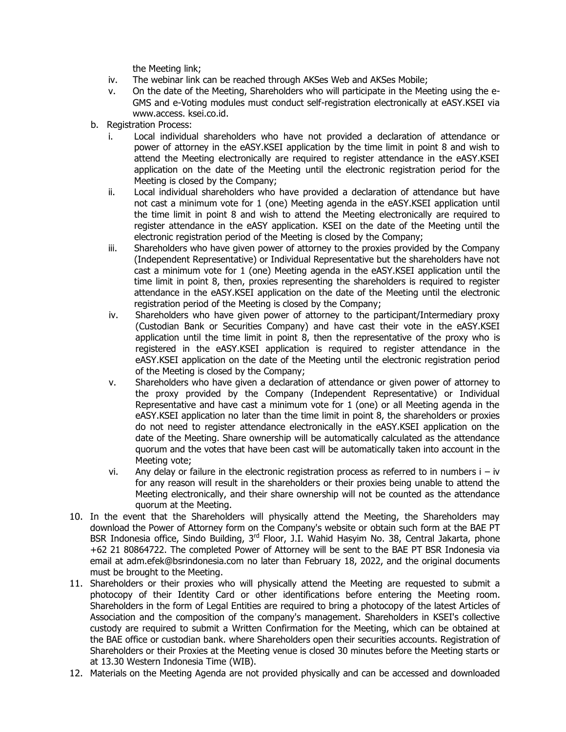the Meeting link;

- iv. The webinar link can be reached through AKSes Web and AKSes Mobile;
- v. On the date of the Meeting, Shareholders who will participate in the Meeting using the e-GMS and e-Voting modules must conduct self-registration electronically at eASY.KSEI via www.access. ksei.co.id.
- b. Registration Process:
	- i. Local individual shareholders who have not provided a declaration of attendance or power of attorney in the eASY.KSEI application by the time limit in point 8 and wish to attend the Meeting electronically are required to register attendance in the eASY.KSEI application on the date of the Meeting until the electronic registration period for the Meeting is closed by the Company;
	- ii. Local individual shareholders who have provided a declaration of attendance but have not cast a minimum vote for 1 (one) Meeting agenda in the eASY.KSEI application until the time limit in point 8 and wish to attend the Meeting electronically are required to register attendance in the eASY application. KSEI on the date of the Meeting until the electronic registration period of the Meeting is closed by the Company;
	- iii. Shareholders who have given power of attorney to the proxies provided by the Company (Independent Representative) or Individual Representative but the shareholders have not cast a minimum vote for 1 (one) Meeting agenda in the eASY.KSEI application until the time limit in point 8, then, proxies representing the shareholders is required to register attendance in the eASY.KSEI application on the date of the Meeting until the electronic registration period of the Meeting is closed by the Company;
	- iv. Shareholders who have given power of attorney to the participant/Intermediary proxy (Custodian Bank or Securities Company) and have cast their vote in the eASY.KSEI application until the time limit in point 8, then the representative of the proxy who is registered in the eASY.KSEI application is required to register attendance in the eASY.KSEI application on the date of the Meeting until the electronic registration period of the Meeting is closed by the Company;
	- v. Shareholders who have given a declaration of attendance or given power of attorney to the proxy provided by the Company (Independent Representative) or Individual Representative and have cast a minimum vote for 1 (one) or all Meeting agenda in the eASY.KSEI application no later than the time limit in point 8, the shareholders or proxies do not need to register attendance electronically in the eASY.KSEI application on the date of the Meeting. Share ownership will be automatically calculated as the attendance quorum and the votes that have been cast will be automatically taken into account in the Meeting vote;
	- vi. Any delay or failure in the electronic registration process as referred to in numbers  $i iv$ for any reason will result in the shareholders or their proxies being unable to attend the Meeting electronically, and their share ownership will not be counted as the attendance quorum at the Meeting.
- 10. In the event that the Shareholders will physically attend the Meeting, the Shareholders may download the Power of Attorney form on the Company's website or obtain such form at the BAE PT BSR Indonesia office, Sindo Building, 3<sup>rd</sup> Floor, J.I. Wahid Hasyim No. 38, Central Jakarta, phone +62 21 80864722. The completed Power of Attorney will be sent to the BAE PT BSR Indonesia via email at adm.efek@bsrindonesia.com no later than February 18, 2022, and the original documents must be brought to the Meeting.
- 11. Shareholders or their proxies who will physically attend the Meeting are requested to submit a photocopy of their Identity Card or other identifications before entering the Meeting room. Shareholders in the form of Legal Entities are required to bring a photocopy of the latest Articles of Association and the composition of the company's management. Shareholders in KSEI's collective custody are required to submit a Written Confirmation for the Meeting, which can be obtained at the BAE office or custodian bank. where Shareholders open their securities accounts. Registration of Shareholders or their Proxies at the Meeting venue is closed 30 minutes before the Meeting starts or at 13.30 Western Indonesia Time (WIB).
- 12. Materials on the Meeting Agenda are not provided physically and can be accessed and downloaded